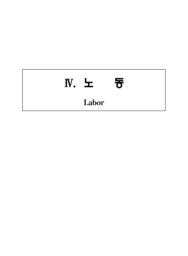# $N.$   $\pm$  $\overline{\sigma}$

Labor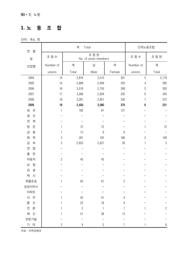### **1. 노 동 조 합**

단위 : 개소, 명

| 연<br>별              |                | 계<br>Total       | 단위노동조합                      |                |                |                  |
|---------------------|----------------|------------------|-----------------------------|----------------|----------------|------------------|
| 및                   | 조 합 수          |                  | 조합원<br>No. of union members | 조 합 수          | 조합원            |                  |
| 산업별                 | Number of      | 계                | 남                           | 여              | Number of      | 계                |
|                     | unions         | Total            | Male                        | Female         | unions         | Total            |
| 2004                | 14             | 2,816            | 2,515                       | 301            | 5              | 2,179            |
| 2005                | 14             | 2,899            | 2,649                       | 250            | 4              | 395              |
| 2006                | 16             | 3,018            | 2,750                       | 268            | 5              | 393              |
| 2007                | 17             | 3,069            | 2,834                       | 235            | $6\,$          | 345              |
| 2008                | 18             | 3,281            | 2,951                       | 330            | 7              | 372              |
| 2009                | 18             | 3,450            | 3,080                       | 370            | 6              | 231              |
| 섬<br>$\frac{Q}{11}$ | $\mathbf{1}$   | 182              | 61                          | 121            |                |                  |
| 광<br>산              |                |                  |                             |                |                |                  |
| 전<br>력              |                |                  |                             |                |                |                  |
| 운<br>항              | 1              | 72               | 72                          |                | 1              | $72\,$           |
| 금<br>$\frac{Q}{C}$  |                | 15               | $\boldsymbol{9}$            | $6\,$          |                |                  |
| 화<br>학              | 3              | 291              | 105                         | 186            | $\overline{c}$ | 148              |
| 금<br>속              | $\sqrt{3}$     | 2,653            | 2,627                       | 26             | 1              | $\sqrt{3}$       |
| 연<br>합              |                |                  |                             |                |                |                  |
| 출<br>판              |                |                  |                             |                |                |                  |
| 자동차                 | $\overline{c}$ | 45               | 45                          |                |                |                  |
| 보<br>험              |                |                  |                             |                |                |                  |
| 관<br>광              |                |                  |                             |                |                |                  |
| 택<br>시              |                |                  |                             |                |                |                  |
| 화물운송                | 1              | 63               | 61                          | $\overline{c}$ |                |                  |
| 공공서비스               |                |                  |                             |                |                |                  |
| 아파트                 |                |                  |                             |                |                |                  |
| 사 무                 |                | 45               | 41                          | 4              |                |                  |
| 통<br>신              |                | 22               | $18$                        | 4              |                |                  |
| 언<br>론              |                | $\overline{2}$   | $\overline{1}$              |                | 1              | $\overline{2}$   |
| 체 신                 |                | 51               | 38                          | 13             |                |                  |
| 전문기술                |                |                  |                             |                |                |                  |
| 기 타                 | $\overline{c}$ | $\boldsymbol{9}$ | $\overline{c}$              | $\overline{7}$ | 1              | $\boldsymbol{6}$ |

자료 : 지역경제과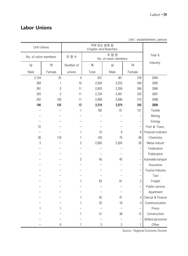#### **Labor Unions**

|                      |                |                                      |                                    |       | 。.                       | botabilorimont, poroon |  |
|----------------------|----------------|--------------------------------------|------------------------------------|-------|--------------------------|------------------------|--|
| Unit Unions          |                |                                      | 지부 또는 분회 등<br>Chapter and Branches |       |                          |                        |  |
|                      |                |                                      | Year &                             |       |                          |                        |  |
| No. of union members |                | 조합원<br>조 합 수<br>No. of union members |                                    |       |                          |                        |  |
| 남                    | 여              | Number of                            | 계                                  | 남     | 여                        | Industry               |  |
| Male                 | Female         | unions                               | Total                              | Male  | Female                   |                        |  |
| 2,154                | 25             | 9                                    | 637                                | 361   | 276                      | 2004                   |  |
| 394                  | 1              | 10                                   | 2,504                              | 2,255 | 249                      | 2005                   |  |
| 391                  | $\overline{c}$ | 11                                   | 2,625                              | 2,359 | 266                      | 2006                   |  |
| 343                  | $\overline{c}$ | 11                                   | 2,724                              | 2,491 | 233                      | 2007                   |  |
| 252                  | 120            | 11                                   | 2,909                              | 2,699 | 210                      | 2008                   |  |
| 106                  | 125            | 12                                   | 3,219                              | 2,974 | 245                      | 2009                   |  |
|                      |                | 1                                    | 182                                | 61    | 121                      | Textile                |  |
|                      |                |                                      |                                    |       |                          | Mining                 |  |
|                      |                |                                      |                                    |       |                          | Energy                 |  |
| 72                   |                |                                      |                                    |       |                          | Port & Trans.          |  |
|                      |                |                                      | 15                                 | 9     | 6                        | Financial institution  |  |
| 30                   | 118            | 1                                    | 143                                | 75    | 68                       | Chemistry              |  |
| 3                    |                | 2                                    | 2,650                              | 2,624 | 26                       | Metal industr          |  |
|                      |                |                                      |                                    |       |                          | Federation             |  |
|                      |                |                                      |                                    |       |                          | Publication            |  |
|                      |                | 2                                    | 45                                 | 45    | $\overline{\phantom{0}}$ | Automobile transport   |  |
|                      |                |                                      |                                    |       |                          | Insurance              |  |
|                      |                |                                      |                                    |       |                          | Tourist industry       |  |
|                      |                |                                      |                                    |       |                          | Taxi                   |  |
|                      |                | 1                                    | 63                                 | 61    | $\overline{c}$           | Freight                |  |
|                      |                |                                      |                                    |       |                          | Public service         |  |
|                      |                |                                      |                                    |       |                          | Apartment              |  |
|                      |                |                                      | 45                                 | 41    | 4                        | Clerical & Finance     |  |
|                      |                |                                      | 22                                 | 18    | 4                        | Communication          |  |
| 1                    | 1              |                                      |                                    |       |                          | Press                  |  |
|                      |                |                                      | 51                                 | 38    | 13                       | Construction           |  |
|                      |                |                                      |                                    |       | $\qquad \qquad -$        | Skilled personnel      |  |

– 6 1 3 2 1 Other

Unit : establishment, person

Source : Regional Economic Division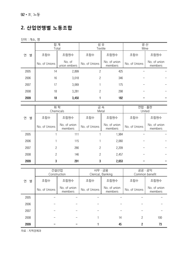## **2. 산업연맹별 노동조합**

단위 : 개소, 명

|        | 합계<br>Total          |                         | 섬유<br>Textile  |                                             | 광산<br>Mine    |                                                       |
|--------|----------------------|-------------------------|----------------|---------------------------------------------|---------------|-------------------------------------------------------|
| 연<br>별 | 조합수                  | 조합원수                    | 조합수            | 조합원수                                        | 조합수           | 조합원수                                                  |
|        | No. of Unions        | No. of<br>union embers  | No. of Unions  | No. of union<br>members                     | No. of Unions | No. of union<br>members                               |
| 2005   | 14                   | 2,899                   | $\overline{c}$ | 425                                         |               |                                                       |
| 2006   | 16                   | 3,018                   | $\overline{c}$ | 346                                         |               |                                                       |
| 2007   | 17                   | 3,069                   | 1              | 175                                         |               |                                                       |
| 2008   | 18                   | 3,281                   | $\overline{c}$ | 298                                         |               |                                                       |
| 2009   | 18                   | 3,450                   | 1              | 182                                         |               |                                                       |
|        |                      |                         |                |                                             |               |                                                       |
|        | 화학<br>Chemicals      |                         | 금속<br>Metal    |                                             | United        | $\overline{C}$ 합 · 출판                                 |
| 연<br>별 | 조합수                  | 조합원수                    | 조합수            | 조합원수                                        | 조합수           | 조합원수                                                  |
|        | No. of Unions        | No. of union<br>members | No. of Unions  | No. of union<br>members                     | No. of Unions | No. of union<br>members                               |
| 2005   |                      | 111                     |                | 1,984                                       |               |                                                       |
| 2006   |                      | 115                     |                | 2,060                                       |               |                                                       |
| 2007   | $\overline{c}$       | 266                     | $\overline{c}$ | 2,209                                       |               |                                                       |
| 2008   | $\overline{c}$       | 146                     | $\overline{c}$ | 2,457                                       |               |                                                       |
| 2009   | 3                    | 291                     | 3              | 2,653                                       |               |                                                       |
|        |                      |                         |                |                                             |               |                                                       |
|        | 건설산업<br>Construction |                         |                | $\overline{V}$ 사무 · 금융<br>Clerical, Banking |               | $\overline{33} \cdot \overline{39}$<br>Common benefit |
| 연<br>별 | 조합수                  | 조합원수                    | 조합수            | 조합원수                                        | 조합수           | 조합원수                                                  |
|        | No. of Unions        | No. of union<br>members | No. of Unions  | No. of union<br>members                     | No. of Unions | No. of union<br>members                               |
| 2005   |                      |                         |                |                                             |               |                                                       |

| 2008<br>2009 | - | - |   | 14<br>45 | $\Omega$ | 100 |
|--------------|---|---|---|----------|----------|-----|
| 2007         | - | - | - | -        |          |     |
| 2006         | - | - | - | -        |          |     |
| ----         |   |   |   |          |          |     |

자료 : 지역경제과